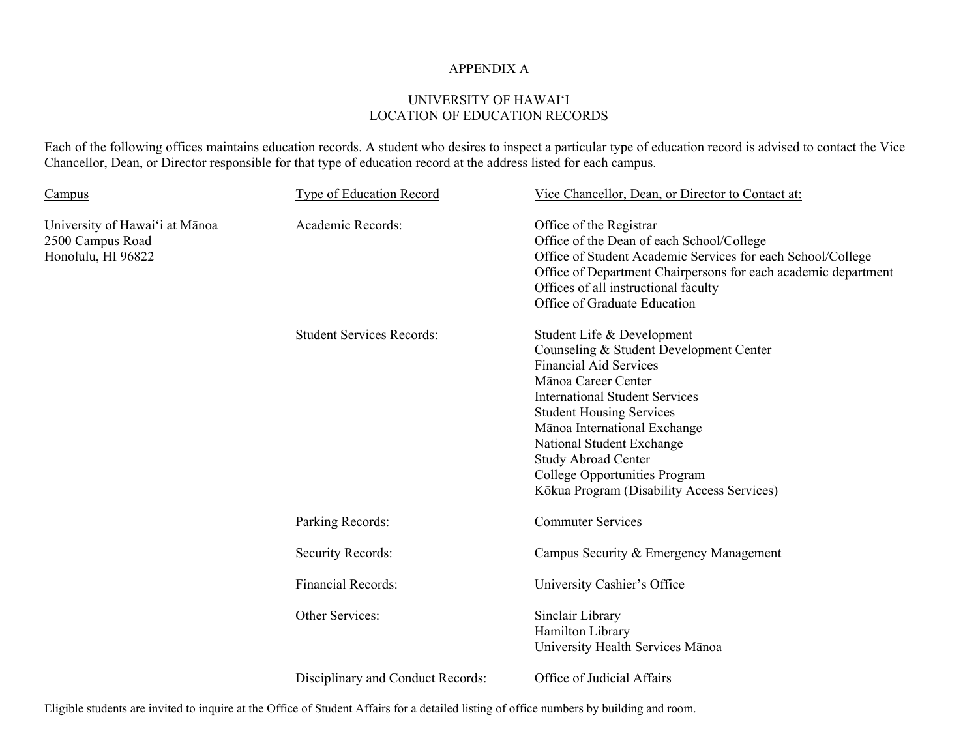## APPENDIX A

## UNIVERSITY OF HAWAI'I LOCATION OF EDUCATION RECORDS

Each of the following offices maintains education records. A student who desires to inspect a particular type of education record is advised to contact the Vice Chancellor, Dean, or Director responsible for that type of education record at the address listed for each campus.

| Campus                                                                   | <b>Type of Education Record</b>   | Vice Chancellor, Dean, or Director to Contact at:                                                                                                                                                                                                                                                                                                                                   |
|--------------------------------------------------------------------------|-----------------------------------|-------------------------------------------------------------------------------------------------------------------------------------------------------------------------------------------------------------------------------------------------------------------------------------------------------------------------------------------------------------------------------------|
| University of Hawai'i at Mānoa<br>2500 Campus Road<br>Honolulu, HI 96822 | Academic Records:                 | Office of the Registrar<br>Office of the Dean of each School/College<br>Office of Student Academic Services for each School/College<br>Office of Department Chairpersons for each academic department<br>Offices of all instructional faculty<br>Office of Graduate Education                                                                                                       |
|                                                                          | <b>Student Services Records:</b>  | Student Life & Development<br>Counseling & Student Development Center<br><b>Financial Aid Services</b><br>Mānoa Career Center<br><b>International Student Services</b><br><b>Student Housing Services</b><br>Mānoa International Exchange<br>National Student Exchange<br><b>Study Abroad Center</b><br>College Opportunities Program<br>Kōkua Program (Disability Access Services) |
|                                                                          | Parking Records:                  | <b>Commuter Services</b>                                                                                                                                                                                                                                                                                                                                                            |
|                                                                          | <b>Security Records:</b>          | Campus Security & Emergency Management                                                                                                                                                                                                                                                                                                                                              |
|                                                                          | <b>Financial Records:</b>         | University Cashier's Office                                                                                                                                                                                                                                                                                                                                                         |
|                                                                          | Other Services:                   | Sinclair Library<br>Hamilton Library<br>University Health Services Mānoa                                                                                                                                                                                                                                                                                                            |
|                                                                          | Disciplinary and Conduct Records: | Office of Judicial Affairs                                                                                                                                                                                                                                                                                                                                                          |

Eligible students are invited to inquire at the Office of Student Affairs for a detailed listing of office numbers by building and room.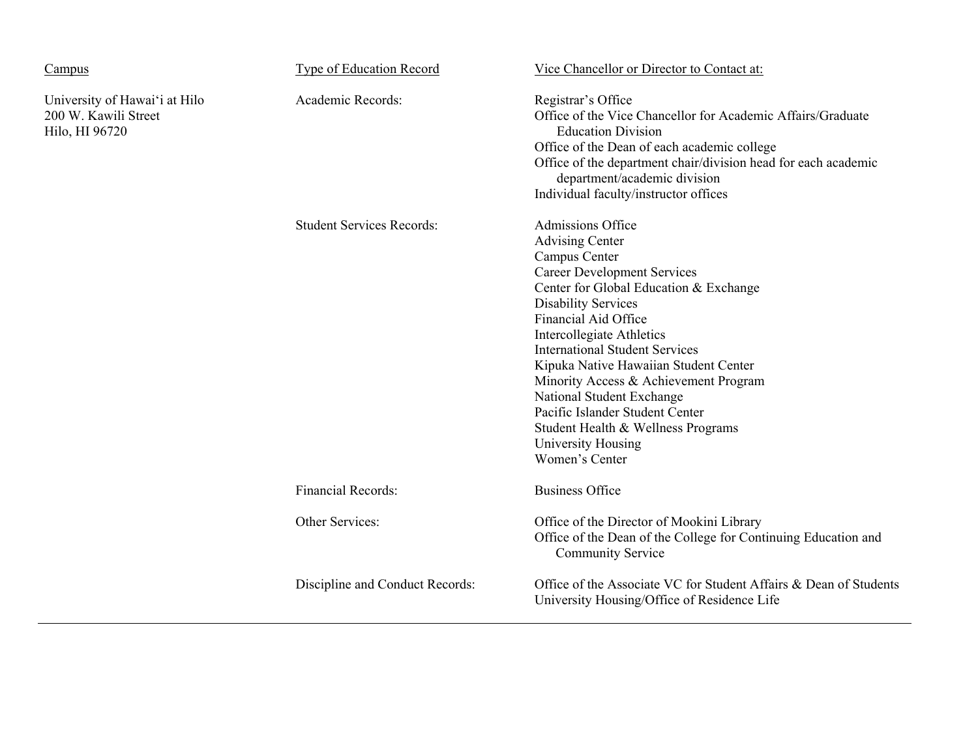| Campus                                                                  | <b>Type of Education Record</b>  | Vice Chancellor or Director to Contact at:                                                                                                                                                                                                                                                                                                                                                                                                                                                                             |
|-------------------------------------------------------------------------|----------------------------------|------------------------------------------------------------------------------------------------------------------------------------------------------------------------------------------------------------------------------------------------------------------------------------------------------------------------------------------------------------------------------------------------------------------------------------------------------------------------------------------------------------------------|
| University of Hawai'i at Hilo<br>200 W. Kawili Street<br>Hilo, HI 96720 | Academic Records:                | Registrar's Office<br>Office of the Vice Chancellor for Academic Affairs/Graduate<br><b>Education Division</b><br>Office of the Dean of each academic college<br>Office of the department chair/division head for each academic<br>department/academic division<br>Individual faculty/instructor offices                                                                                                                                                                                                               |
|                                                                         | <b>Student Services Records:</b> | Admissions Office<br><b>Advising Center</b><br>Campus Center<br><b>Career Development Services</b><br>Center for Global Education & Exchange<br><b>Disability Services</b><br><b>Financial Aid Office</b><br><b>Intercollegiate Athletics</b><br><b>International Student Services</b><br>Kipuka Native Hawaiian Student Center<br>Minority Access & Achievement Program<br>National Student Exchange<br>Pacific Islander Student Center<br>Student Health & Wellness Programs<br>University Housing<br>Women's Center |
|                                                                         | <b>Financial Records:</b>        | <b>Business Office</b>                                                                                                                                                                                                                                                                                                                                                                                                                                                                                                 |
|                                                                         | Other Services:                  | Office of the Director of Mookini Library<br>Office of the Dean of the College for Continuing Education and<br><b>Community Service</b>                                                                                                                                                                                                                                                                                                                                                                                |
|                                                                         | Discipline and Conduct Records:  | Office of the Associate VC for Student Affairs & Dean of Students<br>University Housing/Office of Residence Life                                                                                                                                                                                                                                                                                                                                                                                                       |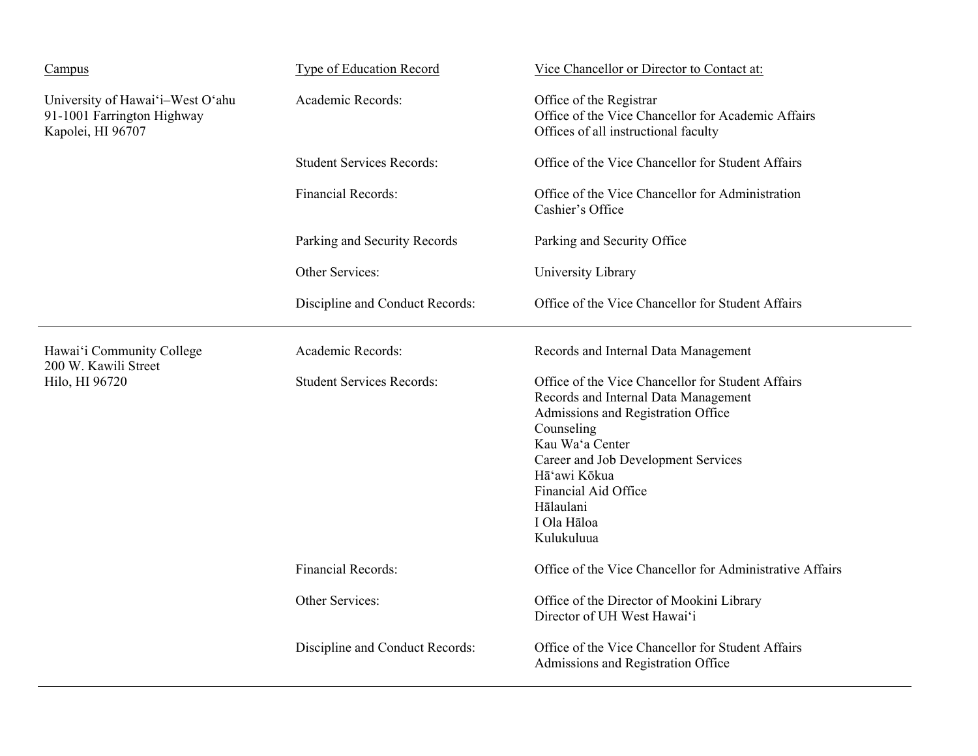| Campus                                                                              | <b>Type of Education Record</b>  | Vice Chancellor or Director to Contact at:                                                                                                                                                                                                                                                |
|-------------------------------------------------------------------------------------|----------------------------------|-------------------------------------------------------------------------------------------------------------------------------------------------------------------------------------------------------------------------------------------------------------------------------------------|
| University of Hawai'i-West O'ahu<br>91-1001 Farrington Highway<br>Kapolei, HI 96707 | Academic Records:                | Office of the Registrar<br>Office of the Vice Chancellor for Academic Affairs<br>Offices of all instructional faculty                                                                                                                                                                     |
|                                                                                     | <b>Student Services Records:</b> | Office of the Vice Chancellor for Student Affairs                                                                                                                                                                                                                                         |
|                                                                                     | Financial Records:               | Office of the Vice Chancellor for Administration<br>Cashier's Office                                                                                                                                                                                                                      |
|                                                                                     | Parking and Security Records     | Parking and Security Office                                                                                                                                                                                                                                                               |
|                                                                                     | Other Services:                  | University Library                                                                                                                                                                                                                                                                        |
|                                                                                     | Discipline and Conduct Records:  | Office of the Vice Chancellor for Student Affairs                                                                                                                                                                                                                                         |
| Hawai'i Community College<br>200 W. Kawili Street<br>Hilo, HI 96720                 | Academic Records:                | Records and Internal Data Management                                                                                                                                                                                                                                                      |
|                                                                                     | <b>Student Services Records:</b> | Office of the Vice Chancellor for Student Affairs<br>Records and Internal Data Management<br>Admissions and Registration Office<br>Counseling<br>Kau Wa'a Center<br>Career and Job Development Services<br>Hā'awi Kōkua<br>Financial Aid Office<br>Hālaulani<br>I Ola Hāloa<br>Kulukuluua |
|                                                                                     | <b>Financial Records:</b>        | Office of the Vice Chancellor for Administrative Affairs                                                                                                                                                                                                                                  |
|                                                                                     | Other Services:                  | Office of the Director of Mookini Library<br>Director of UH West Hawai'i                                                                                                                                                                                                                  |
|                                                                                     | Discipline and Conduct Records:  | Office of the Vice Chancellor for Student Affairs<br>Admissions and Registration Office                                                                                                                                                                                                   |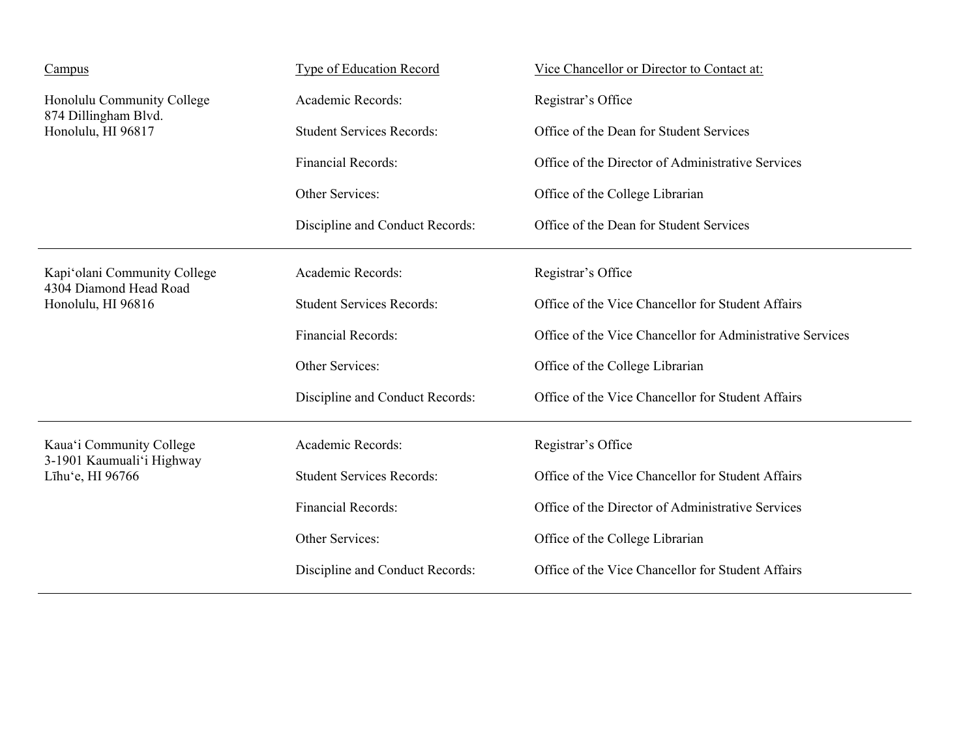| Campus                                                                       | <b>Type of Education Record</b>  | Vice Chancellor or Director to Contact at:                |
|------------------------------------------------------------------------------|----------------------------------|-----------------------------------------------------------|
| Honolulu Community College<br>874 Dillingham Blvd.<br>Honolulu, HI 96817     | Academic Records:                | Registrar's Office                                        |
|                                                                              | <b>Student Services Records:</b> | Office of the Dean for Student Services                   |
|                                                                              | Financial Records:               | Office of the Director of Administrative Services         |
|                                                                              | Other Services:                  | Office of the College Librarian                           |
|                                                                              | Discipline and Conduct Records:  | Office of the Dean for Student Services                   |
| Kapi'olani Community College<br>4304 Diamond Head Road<br>Honolulu, HI 96816 | Academic Records:                | Registrar's Office                                        |
|                                                                              | <b>Student Services Records:</b> | Office of the Vice Chancellor for Student Affairs         |
|                                                                              | Financial Records:               | Office of the Vice Chancellor for Administrative Services |
|                                                                              | Other Services:                  | Office of the College Librarian                           |
|                                                                              | Discipline and Conduct Records:  | Office of the Vice Chancellor for Student Affairs         |
| Kaua'i Community College<br>3-1901 Kaumuali'i Highway<br>Līhu'e, HI 96766    | Academic Records:                | Registrar's Office                                        |
|                                                                              | <b>Student Services Records:</b> | Office of the Vice Chancellor for Student Affairs         |
|                                                                              | Financial Records:               | Office of the Director of Administrative Services         |
|                                                                              | Other Services:                  | Office of the College Librarian                           |
|                                                                              | Discipline and Conduct Records:  | Office of the Vice Chancellor for Student Affairs         |